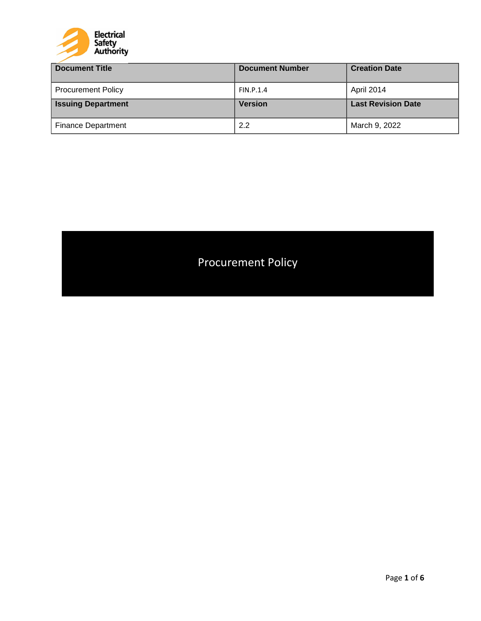

| <b>Document Title</b>     | <b>Document Number</b> | <b>Creation Date</b>      |
|---------------------------|------------------------|---------------------------|
| <b>Procurement Policy</b> | FIN.P.1.4              | April 2014                |
| <b>Issuing Department</b> | <b>Version</b>         | <b>Last Revision Date</b> |
| <b>Finance Department</b> | 2.2                    | March 9, 2022             |

# Procurement Policy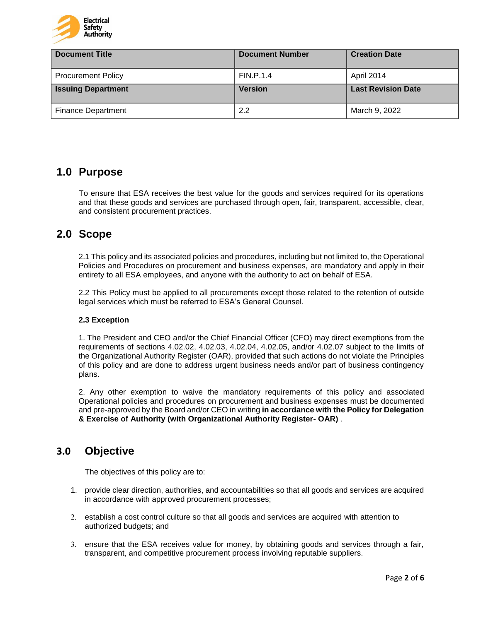

| <b>Document Title</b>     | <b>Document Number</b> | <b>Creation Date</b>      |
|---------------------------|------------------------|---------------------------|
| <b>Procurement Policy</b> | <b>FIN.P.1.4</b>       | April 2014                |
| <b>Issuing Department</b> | <b>Version</b>         | <b>Last Revision Date</b> |
| <b>Finance Department</b> | 2.2                    | March 9, 2022             |

# **1.0 Purpose**

To ensure that ESA receives the best value for the goods and services required for its operations and that these goods and services are purchased through open, fair, transparent, accessible, clear, and consistent procurement practices.

# **2.0 Scope**

2.1 This policy and its associated policies and procedures, including but not limited to, the Operational Policies and Procedures on procurement and business expenses, are mandatory and apply in their entirety to all ESA employees, and anyone with the authority to act on behalf of ESA.

2.2 This Policy must be applied to all procurements except those related to the retention of outside legal services which must be referred to ESA's General Counsel.

### **2.3 Exception**

1. The President and CEO and/or the Chief Financial Officer (CFO) may direct exemptions from the requirements of sections 4.02.02, 4.02.03, 4.02.04, 4.02.05, and/or 4.02.07 subject to the limits of the Organizational Authority Register (OAR), provided that such actions do not violate the Principles of this policy and are done to address urgent business needs and/or part of business contingency plans.

2. Any other exemption to waive the mandatory requirements of this policy and associated Operational policies and procedures on procurement and business expenses must be documented and pre-approved by the Board and/or CEO in writing **in accordance with the Policy for Delegation & Exercise of Authority (with Organizational Authority Register- OAR)** .

### **3.0 Objective**

The objectives of this policy are to:

- 1. provide clear direction, authorities, and accountabilities so that all goods and services are acquired in accordance with approved procurement processes;
- 2. establish a cost control culture so that all goods and services are acquired with attention to authorized budgets; and
- 3. ensure that the ESA receives value for money, by obtaining goods and services through a fair, transparent, and competitive procurement process involving reputable suppliers.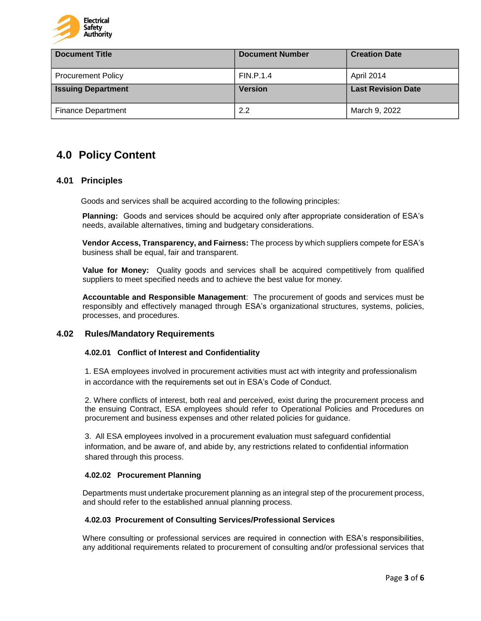

| <b>Document Title</b>     | <b>Document Number</b> | <b>Creation Date</b>      |
|---------------------------|------------------------|---------------------------|
| <b>Procurement Policy</b> | <b>FIN.P.1.4</b>       | April 2014                |
| <b>Issuing Department</b> | <b>Version</b>         | <b>Last Revision Date</b> |
| <b>Finance Department</b> | 2.2                    | March 9, 2022             |

# **4.0 Policy Content**

### **4.01 Principles**

Goods and services shall be acquired according to the following principles:

**Planning:** Goods and services should be acquired only after appropriate consideration of ESA's needs, available alternatives, timing and budgetary considerations.

**Vendor Access, Transparency, and Fairness:** The process by which suppliers compete for ESA's business shall be equal, fair and transparent.

**Value for Money:** Quality goods and services shall be acquired competitively from qualified suppliers to meet specified needs and to achieve the best value for money.

**Accountable and Responsible Management**: The procurement of goods and services must be responsibly and effectively managed through ESA's organizational structures, systems, policies, processes, and procedures.

### **4.02 Rules/Mandatory Requirements**

#### **4.02.01 Conflict of Interest and Confidentiality**

1. ESA employees involved in procurement activities must act with integrity and professionalism in accordance with the requirements set out in ESA's Code of Conduct.

2. Where conflicts of interest, both real and perceived, exist during the procurement process and the ensuing Contract, ESA employees should refer to Operational Policies and Procedures on procurement and business expenses and other related policies for guidance.

3. All ESA employees involved in a procurement evaluation must safeguard confidential information, and be aware of, and abide by, any restrictions related to confidential information shared through this process.

#### **4.02.02 Procurement Planning**

Departments must undertake procurement planning as an integral step of the procurement process, and should refer to the established annual planning process.

#### **4.02.03 Procurement of Consulting Services/Professional Services**

Where consulting or professional services are required in connection with ESA's responsibilities, any additional requirements related to procurement of consulting and/or professional services that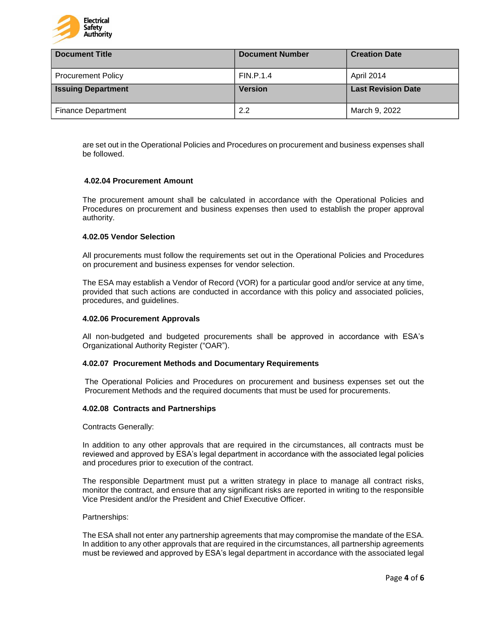

| <b>Document Title</b>     | <b>Document Number</b> | <b>Creation Date</b>      |
|---------------------------|------------------------|---------------------------|
| <b>Procurement Policy</b> | <b>FIN.P.1.4</b>       | April 2014                |
| <b>Issuing Department</b> | <b>Version</b>         | <b>Last Revision Date</b> |
| <b>Finance Department</b> | 2.2                    | March 9, 2022             |

are set out in the Operational Policies and Procedures on procurement and business expenses shall be followed.

#### **4.02.04 Procurement Amount**

The procurement amount shall be calculated in accordance with the Operational Policies and Procedures on procurement and business expenses then used to establish the proper approval authority.

#### **4.02.05 Vendor Selection**

All procurements must follow the requirements set out in the Operational Policies and Procedures on procurement and business expenses for vendor selection.

The ESA may establish a Vendor of Record (VOR) for a particular good and/or service at any time, provided that such actions are conducted in accordance with this policy and associated policies, procedures, and guidelines.

#### **4.02.06 Procurement Approvals**

All non-budgeted and budgeted procurements shall be approved in accordance with ESA's Organizational Authority Register ("OAR").

#### **4.02.07 Procurement Methods and Documentary Requirements**

The Operational Policies and Procedures on procurement and business expenses set out the Procurement Methods and the required documents that must be used for procurements.

#### **4.02.08 Contracts and Partnerships**

Contracts Generally:

In addition to any other approvals that are required in the circumstances, all contracts must be reviewed and approved by ESA's legal department in accordance with the associated legal policies and procedures prior to execution of the contract.

The responsible Department must put a written strategy in place to manage all contract risks, monitor the contract, and ensure that any significant risks are reported in writing to the responsible Vice President and/or the President and Chief Executive Officer.

#### Partnerships:

The ESA shall not enter any partnership agreements that may compromise the mandate of the ESA. In addition to any other approvals that are required in the circumstances, all partnership agreements must be reviewed and approved by ESA's legal department in accordance with the associated legal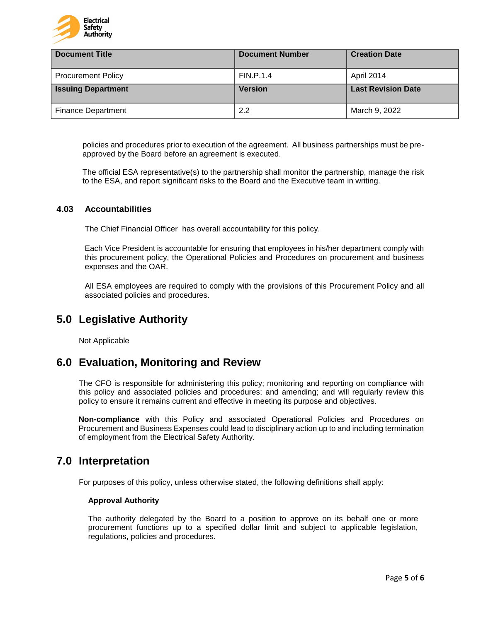

| <b>Document Title</b>     | <b>Document Number</b> | <b>Creation Date</b>      |
|---------------------------|------------------------|---------------------------|
| <b>Procurement Policy</b> | <b>FIN.P.1.4</b>       | April 2014                |
| <b>Issuing Department</b> | <b>Version</b>         | <b>Last Revision Date</b> |
| <b>Finance Department</b> | 2.2                    | March 9, 2022             |

policies and procedures prior to execution of the agreement. All business partnerships must be preapproved by the Board before an agreement is executed.

The official ESA representative(s) to the partnership shall monitor the partnership, manage the risk to the ESA, and report significant risks to the Board and the Executive team in writing.

### **4.03 Accountabilities**

The Chief Financial Officer has overall accountability for this policy.

Each Vice President is accountable for ensuring that employees in his/her department comply with this procurement policy, the Operational Policies and Procedures on procurement and business expenses and the OAR.

All ESA employees are required to comply with the provisions of this Procurement Policy and all associated policies and procedures.

# **5.0 Legislative Authority**

Not Applicable

### **6.0 Evaluation, Monitoring and Review**

The CFO is responsible for administering this policy; monitoring and reporting on compliance with this policy and associated policies and procedures; and amending; and will regularly review this policy to ensure it remains current and effective in meeting its purpose and objectives.

**Non-compliance** with this Policy and associated Operational Policies and Procedures on Procurement and Business Expenses could lead to disciplinary action up to and including termination of employment from the Electrical Safety Authority.

# **7.0 Interpretation**

For purposes of this policy, unless otherwise stated, the following definitions shall apply:

#### **Approval Authority**

The authority delegated by the Board to a position to approve on its behalf one or more procurement functions up to a specified dollar limit and subject to applicable legislation, regulations, policies and procedures.